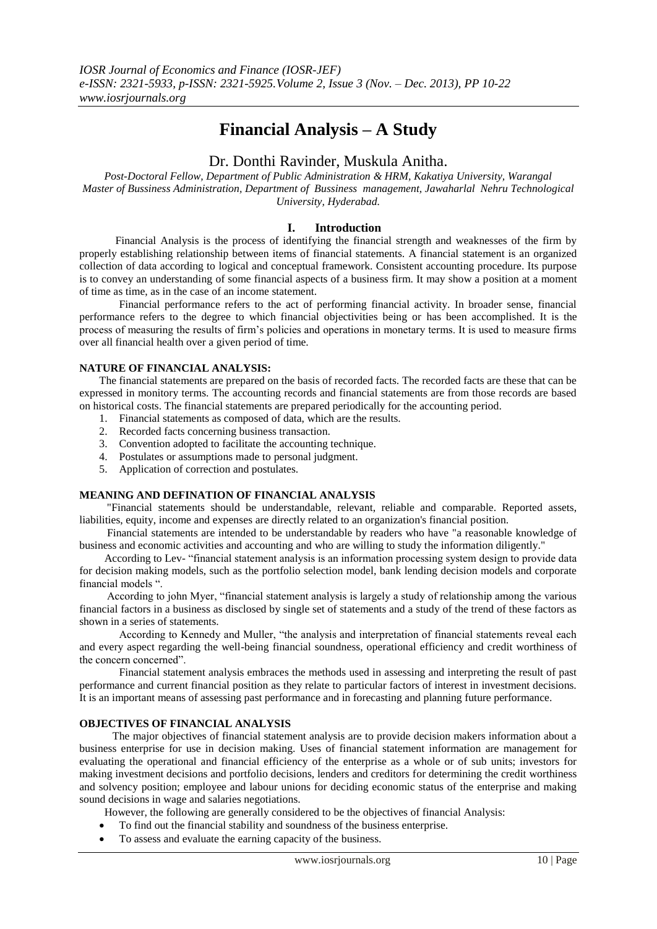# **Financial Analysis – A Study**

# Dr. Donthi Ravinder, Muskula Anitha.

*Post-Doctoral Fellow, Department of Public Administration & HRM, Kakatiya University, Warangal Master of Bussiness Administration, Department of Bussiness management, Jawaharlal Nehru Technological University, Hyderabad.*

### **I. Introduction**

Financial Analysis is the process of identifying the financial strength and weaknesses of the firm by properly establishing relationship between items of financial statements. A financial statement is an organized collection of data according to logical and conceptual framework. Consistent accounting procedure. Its purpose is to convey an understanding of some financial aspects of a business firm. It may show a position at a moment of time as time, as in the case of an income statement.

 Financial performance refers to the act of performing financial activity. In broader sense, financial performance refers to the degree to which financial objectivities being or has been accomplished. It is the process of measuring the results of firm's policies and operations in monetary terms. It is used to measure firms over all financial health over a given period of time.

### **NATURE OF FINANCIAL ANALYSIS:**

The financial statements are prepared on the basis of recorded facts. The recorded facts are these that can be expressed in monitory terms. The accounting records and financial statements are from those records are based on historical costs. The financial statements are prepared periodically for the accounting period.

- 1. Financial statements as composed of data, which are the results.
- 2. Recorded facts concerning business transaction.
- 3. Convention adopted to facilitate the accounting technique.
- 4. Postulates or assumptions made to personal judgment.
- 5. Application of correction and postulates.

### **MEANING AND DEFINATION OF FINANCIAL ANALYSIS**

 "Financial statements should be understandable, relevant, reliable and comparable. Reported assets, liabilities, equity, income and expenses are directly related to an organization's financial position.

 Financial statements are intended to be understandable by readers who have "a reasonable knowledge of business and economic activities and accounting and who are willing to study the information diligently."

 According to Lev- "financial statement analysis is an information processing system design to provide data for decision making models, such as the portfolio selection model, bank lending decision models and corporate financial models ".

 According to john Myer, "financial statement analysis is largely a study of relationship among the various financial factors in a business as disclosed by single set of statements and a study of the trend of these factors as shown in a series of statements.

According to Kennedy and Muller, "the analysis and interpretation of financial statements reveal each and every aspect regarding the well-being financial soundness, operational efficiency and credit worthiness of the concern concerned".

Financial statement analysis embraces the methods used in assessing and interpreting the result of past performance and current financial position as they relate to particular factors of interest in investment decisions. It is an important means of assessing past performance and in forecasting and planning future performance.

### **OBJECTIVES OF FINANCIAL ANALYSIS**

 The major objectives of financial statement analysis are to provide decision makers information about a business enterprise for use in decision making. Uses of financial statement information are management for evaluating the operational and financial efficiency of the enterprise as a whole or of sub units; investors for making investment decisions and portfolio decisions, lenders and creditors for determining the credit worthiness and solvency position; employee and labour unions for deciding economic status of the enterprise and making sound decisions in wage and salaries negotiations.

However, the following are generally considered to be the objectives of financial Analysis:

- To find out the financial stability and soundness of the business enterprise.
- To assess and evaluate the earning capacity of the business.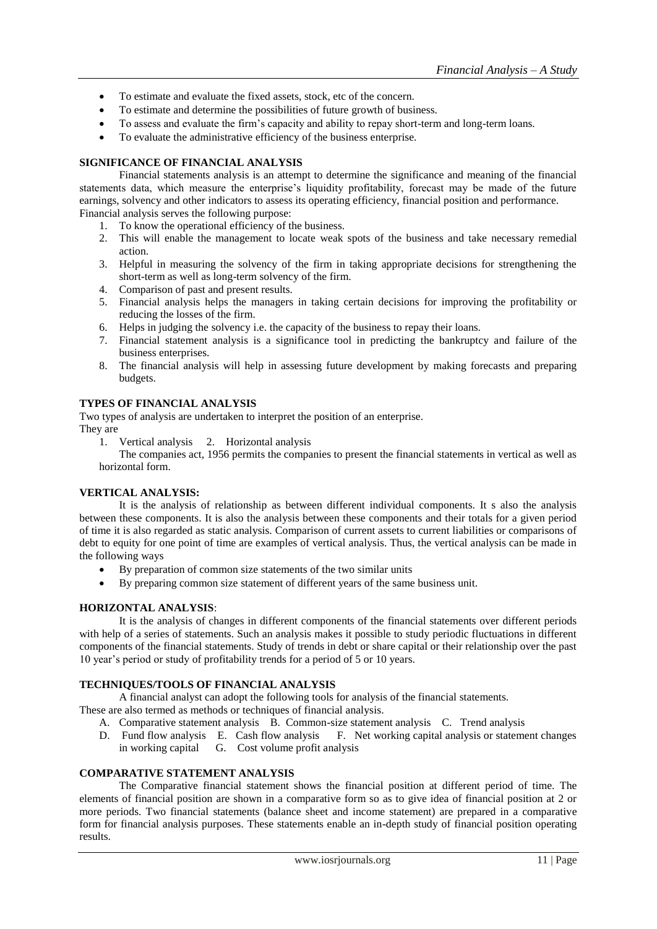- To estimate and evaluate the fixed assets, stock, etc of the concern.
- To estimate and determine the possibilities of future growth of business.
- To assess and evaluate the firm's capacity and ability to repay short-term and long-term loans.
- To evaluate the administrative efficiency of the business enterprise.

# **SIGNIFICANCE OF FINANCIAL ANALYSIS**

Financial statements analysis is an attempt to determine the significance and meaning of the financial statements data, which measure the enterprise's liquidity profitability, forecast may be made of the future earnings, solvency and other indicators to assess its operating efficiency, financial position and performance. Financial analysis serves the following purpose:

- 1. To know the operational efficiency of the business.
- 2. This will enable the management to locate weak spots of the business and take necessary remedial action.
- 3. Helpful in measuring the solvency of the firm in taking appropriate decisions for strengthening the short-term as well as long-term solvency of the firm.
- 4. Comparison of past and present results.
- 5. Financial analysis helps the managers in taking certain decisions for improving the profitability or reducing the losses of the firm.
- 6. Helps in judging the solvency i.e. the capacity of the business to repay their loans.
- 7. Financial statement analysis is a significance tool in predicting the bankruptcy and failure of the business enterprises.
- 8. The financial analysis will help in assessing future development by making forecasts and preparing budgets.

# **TYPES OF FINANCIAL ANALYSIS**

Two types of analysis are undertaken to interpret the position of an enterprise. They are

1. Vertical analysis 2. Horizontal analysis

The companies act, 1956 permits the companies to present the financial statements in vertical as well as horizontal form.

# **VERTICAL ANALYSIS:**

It is the analysis of relationship as between different individual components. It s also the analysis between these components. It is also the analysis between these components and their totals for a given period of time it is also regarded as static analysis. Comparison of current assets to current liabilities or comparisons of debt to equity for one point of time are examples of vertical analysis. Thus, the vertical analysis can be made in the following ways

- By preparation of common size statements of the two similar units
- By preparing common size statement of different years of the same business unit.

# **HORIZONTAL ANALYSIS**:

It is the analysis of changes in different components of the financial statements over different periods with help of a series of statements. Such an analysis makes it possible to study periodic fluctuations in different components of the financial statements. Study of trends in debt or share capital or their relationship over the past 10 year's period or study of profitability trends for a period of 5 or 10 years.

# **TECHNIQUES/TOOLS OF FINANCIAL ANALYSIS**

A financial analyst can adopt the following tools for analysis of the financial statements.

These are also termed as methods or techniques of financial analysis.

- A. Comparative statement analysis B. Common-size statement analysis C. Trend analysis
- D. Fund flow analysis E. Cash flow analysis F. Net working capital analysis or statement changes in working capital G. Cost volume profit analysis

# **COMPARATIVE STATEMENT ANALYSIS**

The Comparative financial statement shows the financial position at different period of time. The elements of financial position are shown in a comparative form so as to give idea of financial position at 2 or more periods. Two financial statements (balance sheet and income statement) are prepared in a comparative form for financial analysis purposes. These statements enable an in-depth study of financial position operating results.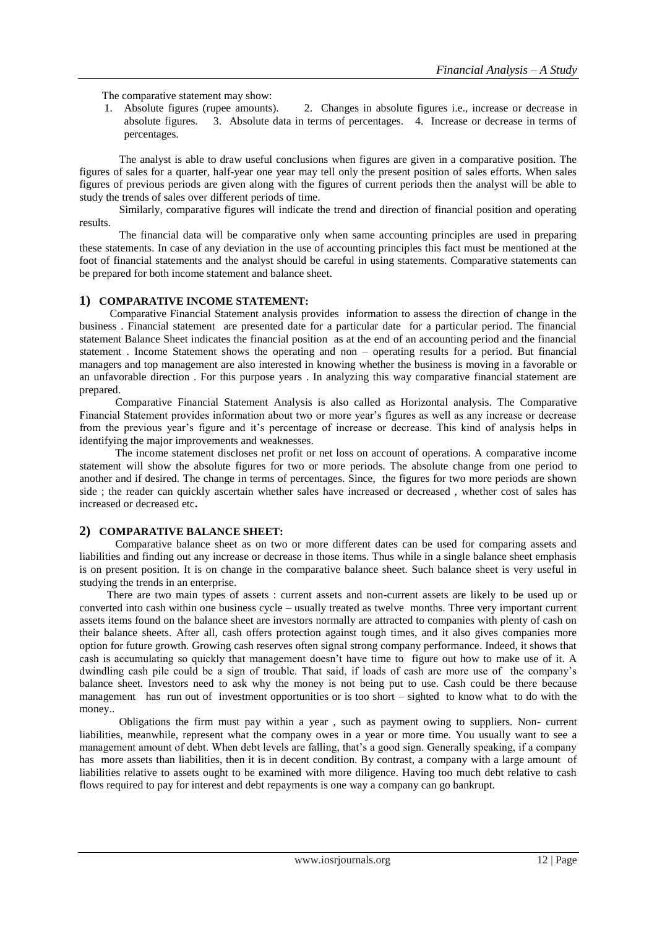The comparative statement may show:

1. Absolute figures (rupee amounts). 2. Changes in absolute figures i.e., increase or decrease in absolute figures. 3. Absolute data in terms of percentages. 4. Increase or decrease in terms of percentages.

The analyst is able to draw useful conclusions when figures are given in a comparative position. The figures of sales for a quarter, half-year one year may tell only the present position of sales efforts. When sales figures of previous periods are given along with the figures of current periods then the analyst will be able to study the trends of sales over different periods of time.

Similarly, comparative figures will indicate the trend and direction of financial position and operating results.

The financial data will be comparative only when same accounting principles are used in preparing these statements. In case of any deviation in the use of accounting principles this fact must be mentioned at the foot of financial statements and the analyst should be careful in using statements. Comparative statements can be prepared for both income statement and balance sheet.

### **1) COMPARATIVE INCOME STATEMENT:**

Comparative Financial Statement analysis provides information to assess the direction of change in the business . Financial statement are presented date for a particular date for a particular period. The financial statement Balance Sheet indicates the financial position as at the end of an accounting period and the financial statement . Income Statement shows the operating and non – operating results for a period. But financial managers and top management are also interested in knowing whether the business is moving in a favorable or an unfavorable direction . For this purpose years . In analyzing this way comparative financial statement are prepared.

 Comparative Financial Statement Analysis is also called as Horizontal analysis. The Comparative Financial Statement provides information about two or more year's figures as well as any increase or decrease from the previous year's figure and it's percentage of increase or decrease. This kind of analysis helps in identifying the major improvements and weaknesses.

 The income statement discloses net profit or net loss on account of operations. A comparative income statement will show the absolute figures for two or more periods. The absolute change from one period to another and if desired. The change in terms of percentages. Since, the figures for two more periods are shown side ; the reader can quickly ascertain whether sales have increased or decreased , whether cost of sales has increased or decreased etc**.**

# **2) COMPARATIVE BALANCE SHEET:**

 Comparative balance sheet as on two or more different dates can be used for comparing assets and liabilities and finding out any increase or decrease in those items. Thus while in a single balance sheet emphasis is on present position. It is on change in the comparative balance sheet. Such balance sheet is very useful in studying the trends in an enterprise.

 There are two main types of assets : current assets and non-current assets are likely to be used up or converted into cash within one business cycle – usually treated as twelve months. Three very important current assets items found on the balance sheet are investors normally are attracted to companies with plenty of cash on their balance sheets. After all, cash offers protection against tough times, and it also gives companies more option for future growth. Growing cash reserves often signal strong company performance. Indeed, it shows that cash is accumulating so quickly that management doesn't have time to figure out how to make use of it. A dwindling cash pile could be a sign of trouble. That said, if loads of cash are more use of the company's balance sheet. Investors need to ask why the money is not being put to use. Cash could be there because management has run out of investment opportunities or is too short – sighted to know what to do with the money..

Obligations the firm must pay within a year , such as payment owing to suppliers. Non- current liabilities, meanwhile, represent what the company owes in a year or more time. You usually want to see a management amount of debt. When debt levels are falling, that's a good sign. Generally speaking, if a company has more assets than liabilities, then it is in decent condition. By contrast, a company with a large amount of liabilities relative to assets ought to be examined with more diligence. Having too much debt relative to cash flows required to pay for interest and debt repayments is one way a company can go bankrupt.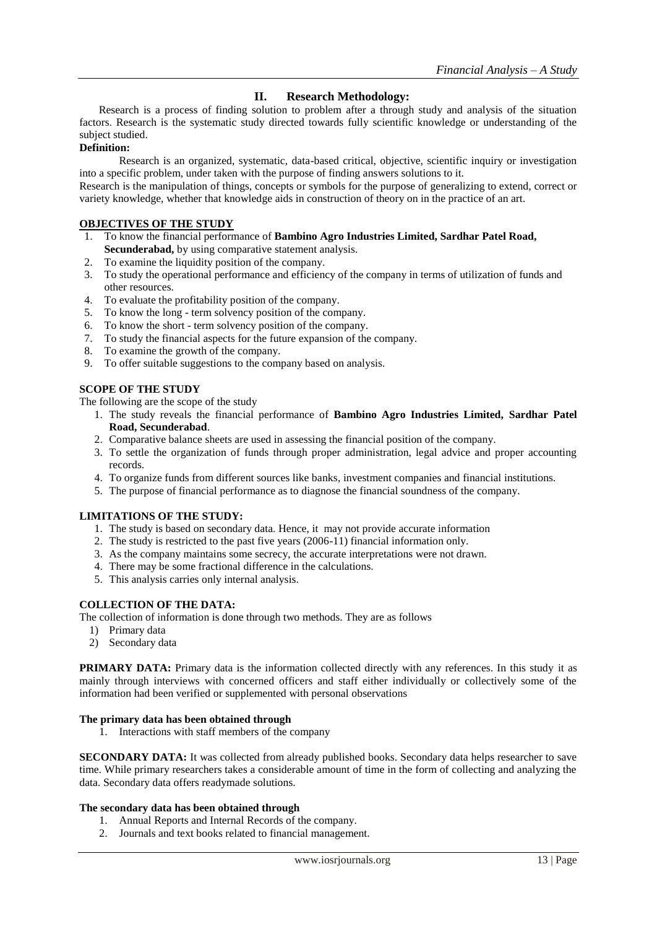# **II. Research Methodology:**

 Research is a process of finding solution to problem after a through study and analysis of the situation factors. Research is the systematic study directed towards fully scientific knowledge or understanding of the subject studied.

### **Definition:**

Research is an organized, systematic, data-based critical, objective, scientific inquiry or investigation into a specific problem, under taken with the purpose of finding answers solutions to it.

Research is the manipulation of things, concepts or symbols for the purpose of generalizing to extend, correct or variety knowledge, whether that knowledge aids in construction of theory on in the practice of an art.

### **OBJECTIVES OF THE STUDY**

- 1. To know the financial performance of **Bambino Agro Industries Limited, Sardhar Patel Road, Secunderabad,** by using comparative statement analysis.
- 2. To examine the liquidity position of the company.
- 3. To study the operational performance and efficiency of the company in terms of utilization of funds and other resources.
- 4. To evaluate the profitability position of the company.
- 5. To know the long term solvency position of the company.
- 6. To know the short term solvency position of the company.
- 7. To study the financial aspects for the future expansion of the company.
- 8. To examine the growth of the company.
- 9. To offer suitable suggestions to the company based on analysis.

### **SCOPE OF THE STUDY**

The following are the scope of the study

- 1. The study reveals the financial performance of **Bambino Agro Industries Limited, Sardhar Patel Road, Secunderabad**.
- 2. Comparative balance sheets are used in assessing the financial position of the company.
- 3. To settle the organization of funds through proper administration, legal advice and proper accounting records.
- 4. To organize funds from different sources like banks, investment companies and financial institutions.
- 5. The purpose of financial performance as to diagnose the financial soundness of the company.

# **LIMITATIONS OF THE STUDY:**

- 1. The study is based on secondary data. Hence, it may not provide accurate information
- 2. The study is restricted to the past five years (2006-11) financial information only.
- 3. As the company maintains some secrecy, the accurate interpretations were not drawn.
- 4. There may be some fractional difference in the calculations.
- 5. This analysis carries only internal analysis.

### **COLLECTION OF THE DATA:**

The collection of information is done through two methods. They are as follows

- 1) Primary data
- 2) Secondary data

**PRIMARY DATA:** Primary data is the information collected directly with any references. In this study it as mainly through interviews with concerned officers and staff either individually or collectively some of the information had been verified or supplemented with personal observations

### **The primary data has been obtained through**

1. Interactions with staff members of the company

**SECONDARY DATA:** It was collected from already published books. Secondary data helps researcher to save time. While primary researchers takes a considerable amount of time in the form of collecting and analyzing the data. Secondary data offers readymade solutions.

### **The secondary data has been obtained through**

- 1. Annual Reports and Internal Records of the company.
- 2. Journals and text books related to financial management.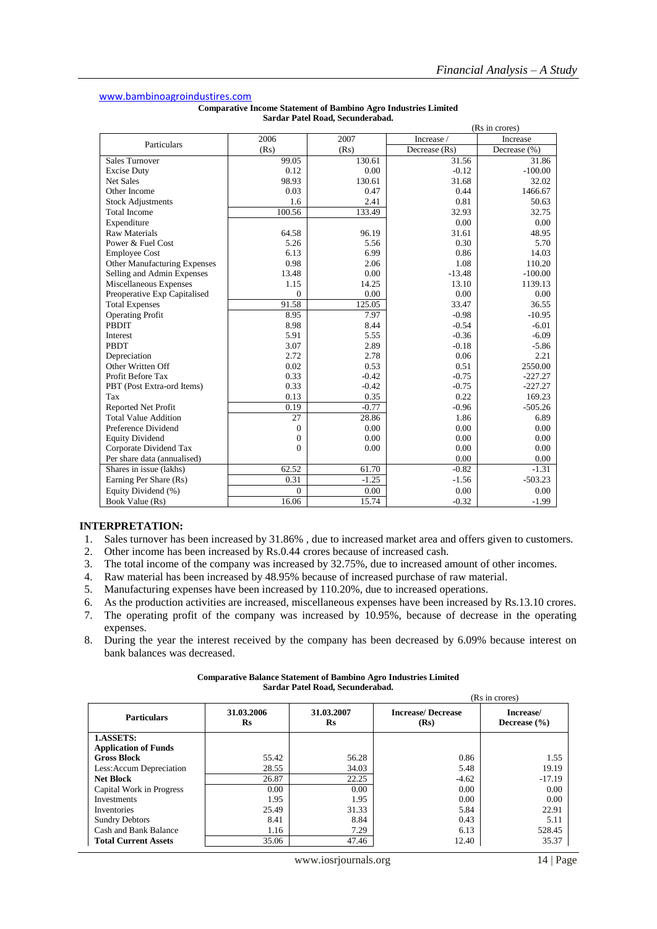### [www.bambinoagroindustires.com](http://www.bambinoagroindustires.com/)

| <b>Comparative Income Statement of Bambino Agro Industries Limited</b> |  |
|------------------------------------------------------------------------|--|
| Sardar Patel Road, Secunderabad.                                       |  |

|                              |                  |         |               | (Rs in crores) |
|------------------------------|------------------|---------|---------------|----------------|
| Particulars                  | 2006             | 2007    | Increase /    | Increase       |
|                              | (Rs)             | (Rs)    | Decrease (Rs) | Decrease (%)   |
| <b>Sales Turnover</b>        | 99.05            | 130.61  | 31.56         | 31.86          |
| <b>Excise Duty</b>           | 0.12             | 0.00    | $-0.12$       | $-100.00$      |
| <b>Net Sales</b>             | 98.93            | 130.61  | 31.68         | 32.02          |
| Other Income                 | 0.03             | 0.47    | 0.44          | 1466.67        |
| <b>Stock Adjustments</b>     | 1.6              | 2.41    | 0.81          | 50.63          |
| <b>Total Income</b>          | 100.56           | 133.49  | 32.93         | 32.75          |
| Expenditure                  |                  |         | 0.00          | 0.00           |
| <b>Raw Materials</b>         | 64.58            | 96.19   | 31.61         | 48.95          |
| Power & Fuel Cost            | 5.26             | 5.56    | 0.30          | 5.70           |
| <b>Employee Cost</b>         | 6.13             | 6.99    | 0.86          | 14.03          |
| Other Manufacturing Expenses | 0.98             | 2.06    | 1.08          | 110.20         |
| Selling and Admin Expenses   | 13.48            | 0.00    | $-13.48$      | $-100.00$      |
| Miscellaneous Expenses       | 1.15             | 14.25   | 13.10         | 1139.13        |
| Preoperative Exp Capitalised | $\overline{0}$   | 0.00    | 0.00          | 0.00           |
| <b>Total Expenses</b>        | 91.58            | 125.05  | 33.47         | 36.55          |
| <b>Operating Profit</b>      | 8.95             | 7.97    | $-0.98$       | $-10.95$       |
| PBDIT                        | 8.98             | 8.44    | $-0.54$       | $-6.01$        |
| Interest                     | 5.91             | 5.55    | $-0.36$       | $-6.09$        |
| PBDT                         | 3.07             | 2.89    | $-0.18$       | $-5.86$        |
| Depreciation                 | 2.72             | 2.78    | 0.06          | 2.21           |
| Other Written Off            | 0.02             | 0.53    | 0.51          | 2550.00        |
| Profit Before Tax            | 0.33             | $-0.42$ | $-0.75$       | $-227.27$      |
| PBT (Post Extra-ord Items)   | 0.33             | $-0.42$ | $-0.75$       | $-227.27$      |
| Tax                          | 0.13             | 0.35    | 0.22          | 169.23         |
| Reported Net Profit          | 0.19             | $-0.77$ | $-0.96$       | $-505.26$      |
| <b>Total Value Addition</b>  | 27               | 28.86   | 1.86          | 6.89           |
| Preference Dividend          | $\boldsymbol{0}$ | 0.00    | 0.00          | 0.00           |
| <b>Equity Dividend</b>       | $\mathbf{0}$     | 0.00    | 0.00          | 0.00           |
| Corporate Dividend Tax       | $\overline{0}$   | 0.00    | 0.00          | 0.00           |
| Per share data (annualised)  |                  |         | 0.00          | 0.00           |
| Shares in issue (lakhs)      | 62.52            | 61.70   | $-0.82$       | $-1.31$        |
| Earning Per Share (Rs)       | 0.31             | $-1.25$ | $-1.56$       | $-503.23$      |
| Equity Dividend (%)          | $\theta$         | 0.00    | 0.00          | 0.00           |
| Book Value (Rs)              | 16.06            | 15.74   | $-0.32$       | $-1.99$        |

#### **INTERPRETATION:**

- 1. Sales turnover has been increased by 31.86% , due to increased market area and offers given to customers.
- 2. Other income has been increased by Rs.0.44 crores because of increased cash.
- 3. The total income of the company was increased by 32.75%, due to increased amount of other incomes.<br>4. Raw material has been increased by 48.95% because of increased purchase of raw material.
- Raw material has been increased by 48.95% because of increased purchase of raw material.
- 5. Manufacturing expenses have been increased by 110.20%, due to increased operations.
- 6. As the production activities are increased, miscellaneous expenses have been increased by Rs.13.10 crores.
- 7. The operating profit of the company was increased by 10.95%, because of decrease in the operating expenses.
- 8. During the year the interest received by the company has been decreased by 6.09% because interest on bank balances was decreased.

|                             |                             |                             |                                  | (Rs in crores)                |
|-----------------------------|-----------------------------|-----------------------------|----------------------------------|-------------------------------|
| <b>Particulars</b>          | 31.03.2006<br>$\mathbf{R}s$ | 31.03.2007<br>$\mathbf{Rs}$ | <b>Increase/Decrease</b><br>(Rs) | Increase/<br>Decrease $(\% )$ |
| 1.ASSETS:                   |                             |                             |                                  |                               |
| <b>Application of Funds</b> |                             |                             |                                  |                               |
| <b>Gross Block</b>          | 55.42                       | 56.28                       | 0.86                             | 1.55                          |
| Less: Accum Depreciation    | 28.55                       | 34.03                       | 5.48                             | 19.19                         |
| <b>Net Block</b>            | 26.87                       | 22.25                       | $-4.62$                          | $-17.19$                      |
| Capital Work in Progress    | 0.00                        | 0.00                        | 0.00                             | 0.00                          |
| Investments                 | 1.95                        | 1.95                        | 0.00                             | 0.00                          |
| Inventories                 | 25.49                       | 31.33                       | 5.84                             | 22.91                         |
| <b>Sundry Debtors</b>       | 8.41                        | 8.84                        | 0.43                             | 5.11                          |
| Cash and Bank Balance       | 1.16                        | 7.29                        | 6.13                             | 528.45                        |
| <b>Total Current Assets</b> | 35.06                       | 47.46                       | 12.40                            | 35.37                         |

#### **Comparative Balance Statement of Bambino Agro Industries Limited Sardar Patel Road, Secunderabad.**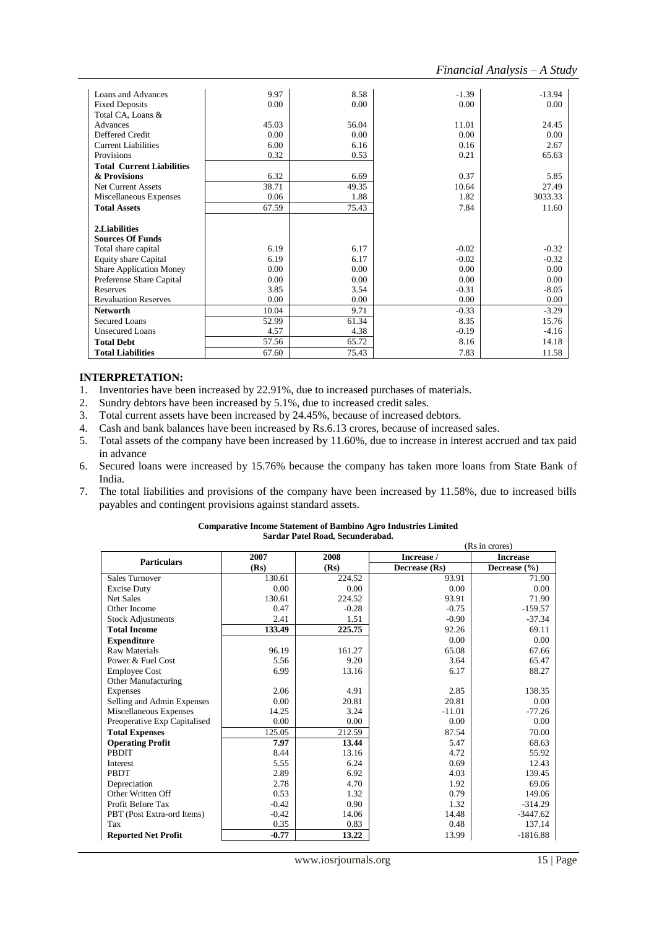| Loans and Advances               | 9.97  | 8.58  | $-1.39$ | $-13.94$ |
|----------------------------------|-------|-------|---------|----------|
| <b>Fixed Deposits</b>            | 0.00  | 0.00  | 0.00    | 0.00     |
| Total CA, Loans &                |       |       |         |          |
| Advances                         | 45.03 | 56.04 | 11.01   | 24.45    |
| Deffered Credit                  | 0.00  | 0.00  | 0.00    | 0.00     |
| <b>Current Liabilities</b>       | 6.00  | 6.16  | 0.16    | 2.67     |
| Provisions                       | 0.32  | 0.53  | 0.21    | 65.63    |
| <b>Total Current Liabilities</b> |       |       |         |          |
| & Provisions                     | 6.32  | 6.69  | 0.37    | 5.85     |
| <b>Net Current Assets</b>        | 38.71 | 49.35 | 10.64   | 27.49    |
| Miscellaneous Expenses           | 0.06  | 1.88  | 1.82    | 3033.33  |
| <b>Total Assets</b>              | 67.59 | 75.43 | 7.84    | 11.60    |
|                                  |       |       |         |          |
| 2.Liabilities                    |       |       |         |          |
| <b>Sources Of Funds</b>          |       |       |         |          |
| Total share capital              | 6.19  | 6.17  | $-0.02$ | $-0.32$  |
| <b>Equity share Capital</b>      | 6.19  | 6.17  | $-0.02$ | $-0.32$  |
| <b>Share Application Money</b>   | 0.00  | 0.00  | 0.00    | 0.00     |
| Preferense Share Capital         | 0.00  | 0.00  | 0.00    | 0.00     |
| Reserves                         | 3.85  | 3.54  | $-0.31$ | $-8.05$  |
| <b>Revaluation Reserves</b>      | 0.00  | 0.00  | 0.00    | 0.00     |
| <b>Networth</b>                  | 10.04 | 9.71  | $-0.33$ | $-3.29$  |
| Secured Loans                    | 52.99 | 61.34 | 8.35    | 15.76    |
| <b>Unsecured Loans</b>           | 4.57  | 4.38  | $-0.19$ | $-4.16$  |
| <b>Total Debt</b>                | 57.56 | 65.72 | 8.16    | 14.18    |
| <b>Total Liabilities</b>         | 67.60 | 75.43 | 7.83    | 11.58    |

- 1. Inventories have been increased by 22.91%, due to increased purchases of materials.
- 2. Sundry debtors have been increased by 5.1%, due to increased credit sales.
- 3. Total current assets have been increased by 24.45%, because of increased debtors.
- 4. Cash and bank balances have been increased by Rs.6.13 crores, because of increased sales.
- 5. Total assets of the company have been increased by 11.60%, due to increase in interest accrued and tax paid in advance
- 6. Secured loans were increased by 15.76% because the company has taken more loans from State Bank of India.
- 7. The total liabilities and provisions of the company have been increased by 11.58%, due to increased bills payables and contingent provisions against standard assets.

|                              | (Rs in crores) |         |               |                  |
|------------------------------|----------------|---------|---------------|------------------|
| <b>Particulars</b>           | 2007           | 2008    | Increase /    | <b>Increase</b>  |
|                              | (Rs)           | (Rs)    | Decrease (Rs) | Decrease $(\% )$ |
| <b>Sales Turnover</b>        | 130.61         | 224.52  | 93.91         | 71.90            |
| <b>Excise Duty</b>           | 0.00           | 0.00    | 0.00          | 0.00             |
| Net Sales                    | 130.61         | 224.52  | 93.91         | 71.90            |
| Other Income                 | 0.47           | $-0.28$ | $-0.75$       | $-159.57$        |
| <b>Stock Adjustments</b>     | 2.41           | 1.51    | $-0.90$       | $-37.34$         |
| <b>Total Income</b>          | 133.49         | 225.75  | 92.26         | 69.11            |
| <b>Expenditure</b>           |                |         | 0.00          | 0.00             |
| <b>Raw Materials</b>         | 96.19          | 161.27  | 65.08         | 67.66            |
| Power & Fuel Cost            | 5.56           | 9.20    | 3.64          | 65.47            |
| <b>Employee Cost</b>         | 6.99           | 13.16   | 6.17          | 88.27            |
| Other Manufacturing          |                |         |               |                  |
| Expenses                     | 2.06           | 4.91    | 2.85          | 138.35           |
| Selling and Admin Expenses   | 0.00           | 20.81   | 20.81         | 0.00             |
| Miscellaneous Expenses       | 14.25          | 3.24    | $-11.01$      | $-77.26$         |
| Preoperative Exp Capitalised | 0.00           | 0.00    | 0.00          | 0.00             |
| <b>Total Expenses</b>        | 125.05         | 212.59  | 87.54         | 70.00            |
| <b>Operating Profit</b>      | 7.97           | 13.44   | 5.47          | 68.63            |
| <b>PBDIT</b>                 | 8.44           | 13.16   | 4.72          | 55.92            |
| Interest                     | 5.55           | 6.24    | 0.69          | 12.43            |
| PBDT                         | 2.89           | 6.92    | 4.03          | 139.45           |
| Depreciation                 | 2.78           | 4.70    | 1.92          | 69.06            |
| Other Written Off            | 0.53           | 1.32    | 0.79          | 149.06           |
| Profit Before Tax            | $-0.42$        | 0.90    | 1.32          | $-314.29$        |
| PBT (Post Extra-ord Items)   | $-0.42$        | 14.06   | 14.48         | $-3447.62$       |
| Tax                          | 0.35           | 0.83    | 0.48          | 137.14           |
| <b>Reported Net Profit</b>   | $-0.77$        | 13.22   | 13.99         | $-1816.88$       |

#### **Comparative Income Statement of Bambino Agro Industries Limited Sardar Patel Road, Secunderabad.**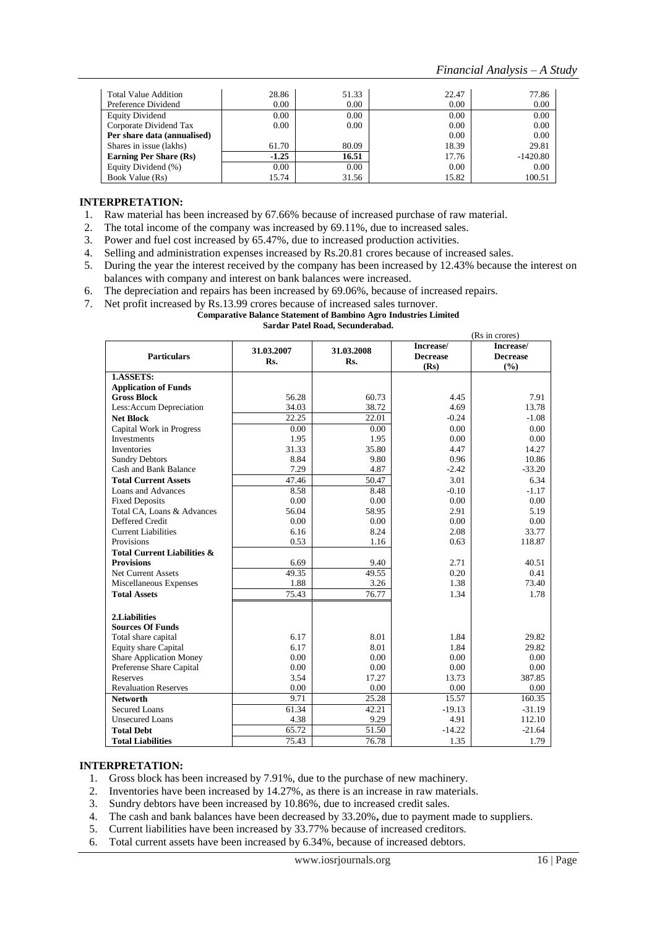| Total Value Addition          | 28.86   | 51.33 | 22.47             | 77.86      |
|-------------------------------|---------|-------|-------------------|------------|
| Preference Dividend           | 0.00    | 0.00  | 0.00              | 0.00       |
| <b>Equity Dividend</b>        | 0.00    | 0.00  | 0.00              | 0.00       |
| Corporate Dividend Tax        | 0.00    | 0.00  | 0.00              | 0.00       |
| Per share data (annualised)   |         |       | 0.00 <sub>1</sub> | 0.00       |
| Shares in issue (lakhs)       | 61.70   | 80.09 | 18.39             | 29.81      |
| <b>Earning Per Share (Rs)</b> | $-1.25$ | 16.51 | 17.76             | $-1420.80$ |
| Equity Dividend (%)           | 0.00    | 0.00  | 0.00              | 0.00       |
| Book Value (Rs)               | 15.74   | 31.56 | 15.82             | 100.51     |

- 1. Raw material has been increased by 67.66% because of increased purchase of raw material.
- 2. The total income of the company was increased by 69.11%, due to increased sales.
- 3. Power and fuel cost increased by 65.47%, due to increased production activities.
- 4. Selling and administration expenses increased by Rs.20.81 crores because of increased sales.
- 5. During the year the interest received by the company has been increased by 12.43% because the interest on balances with company and interest on bank balances were increased.
- 6. The depreciation and repairs has been increased by 69.06%, because of increased repairs.
- Net profit increased by Rs.13.99 crores because of increased sales turnover.

#### **Comparative Balance Statement of Bambino Agro Industries Limited**

#### **Sardar Patel Road, Secunderabad.**

|                                        |                    |                   |                                      | (Rs in crores)                      |
|----------------------------------------|--------------------|-------------------|--------------------------------------|-------------------------------------|
| <b>Particulars</b>                     | 31.03.2007<br>Rs.  | 31.03.2008<br>Rs. | Increase/<br><b>Decrease</b><br>(Rs) | Increase/<br><b>Decrease</b><br>(%) |
| 1.ASSETS:                              |                    |                   |                                      |                                     |
| <b>Application of Funds</b>            |                    |                   |                                      |                                     |
| <b>Gross Block</b>                     | 56.28              | 60.73             | 4.45                                 | 7.91                                |
| Less: Accum Depreciation               | 34.03              | 38.72             | 4.69                                 | 13.78                               |
| <b>Net Block</b>                       | $\overline{22.25}$ | 22.01             | $-0.24$                              | $-1.08$                             |
| Capital Work in Progress               | 0.00               | 0.00              | 0.00                                 | 0.00                                |
| <b>Investments</b>                     | 1.95               | 1.95              | 0.00                                 | 0.00                                |
| Inventories                            | 31.33              | 35.80             | 4.47                                 | 14.27                               |
| <b>Sundry Debtors</b>                  | 8.84               | 9.80              | 0.96                                 | 10.86                               |
| Cash and Bank Balance                  | 7.29               | 4.87              | $-2.42$                              | $-33.20$                            |
| <b>Total Current Assets</b>            | 47.46              | 50.47             | 3.01                                 | 6.34                                |
| Loans and Advances                     | 8.58               | 8.48              | $-0.10$                              | $-1.17$                             |
| <b>Fixed Deposits</b>                  | 0.00               | 0.00              | 0.00                                 | 0.00                                |
| Total CA, Loans & Advances             | 56.04              | 58.95             | 2.91                                 | 5.19                                |
| Deffered Credit                        | 0.00               | 0.00              | 0.00                                 | 0.00                                |
| <b>Current Liabilities</b>             | 6.16               | 8.24              | 2.08                                 | 33.77                               |
| Provisions                             | 0.53               | 1.16              | 0.63                                 | 118.87                              |
| <b>Total Current Liabilities &amp;</b> |                    |                   |                                      |                                     |
| <b>Provisions</b>                      | 6.69               | 9.40              | 2.71                                 | 40.51                               |
| <b>Net Current Assets</b>              | 49.35              | 49.55             | 0.20                                 | 0.41                                |
| Miscellaneous Expenses                 | 1.88               | 3.26              | 1.38                                 | 73.40                               |
| <b>Total Assets</b>                    | 75.43              | 76.77             | 1.34                                 | 1.78                                |
|                                        |                    |                   |                                      |                                     |
| 2.Liabilities                          |                    |                   |                                      |                                     |
| <b>Sources Of Funds</b>                |                    |                   |                                      |                                     |
| Total share capital                    | 6.17               | 8.01              | 1.84                                 | 29.82                               |
| <b>Equity share Capital</b>            | 6.17               | 8.01              | 1.84                                 | 29.82                               |
| <b>Share Application Money</b>         | 0.00               | 0.00              | 0.00                                 | 0.00                                |
| Preferense Share Capital               | 0.00               | 0.00              | 0.00                                 | 0.00                                |
| <b>Reserves</b>                        | 3.54               | 17.27             | 13.73                                | 387.85                              |
| <b>Revaluation Reserves</b>            | 0.00               | 0.00              | 0.00                                 | 0.00                                |
| <b>Networth</b>                        | 9.71               | 25.28             | 15.57                                | 160.35                              |
| <b>Secured Loans</b>                   | 61.34              | 42.21             | $-19.13$                             | $-31.19$                            |
| <b>Unsecured Loans</b>                 | 4.38               | 9.29              | 4.91                                 | 112.10                              |
| <b>Total Debt</b>                      | 65.72              | 51.50             | $-14.22$                             | $-21.64$                            |
| <b>Total Liabilities</b>               | 75.43              | 76.78             | 1.35                                 | 1.79                                |

#### **INTERPRETATION:**

- 1. Gross block has been increased by 7.91%, due to the purchase of new machinery.
- 2. Inventories have been increased by 14.27%, as there is an increase in raw materials.
- 3. Sundry debtors have been increased by 10.86%, due to increased credit sales.
- 4. The cash and bank balances have been decreased by 33.20%**,** due to payment made to suppliers.
- 5. Current liabilities have been increased by 33.77% because of increased creditors.
- 6. Total current assets have been increased by 6.34%, because of increased debtors.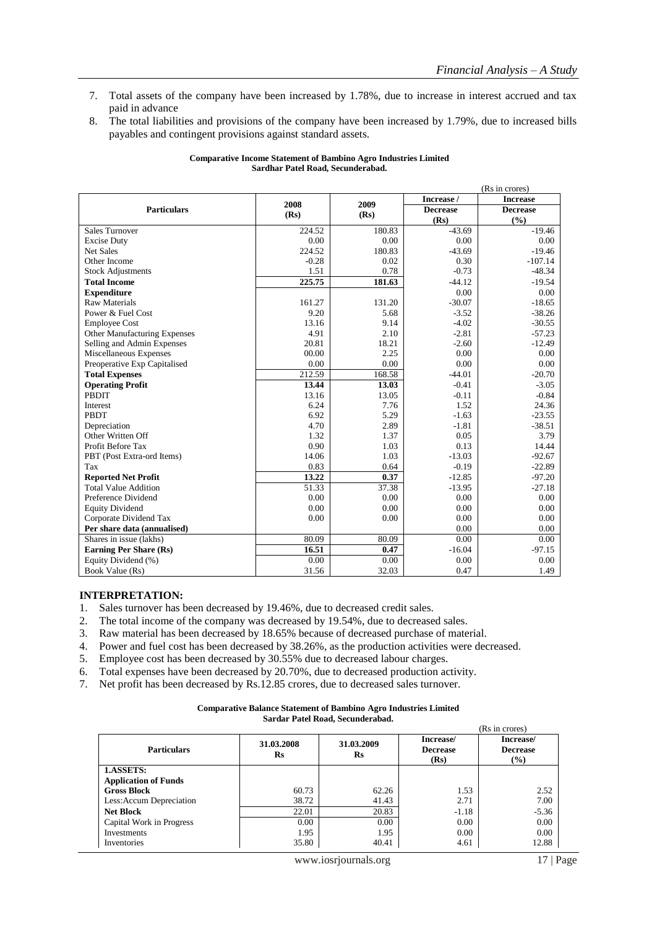- 7. Total assets of the company have been increased by 1.78%, due to increase in interest accrued and tax paid in advance
- 8. The total liabilities and provisions of the company have been increased by 1.79%, due to increased bills payables and contingent provisions against standard assets.

| <b>Comparative Income Statement of Bambino Agro Industries Limited</b> |  |
|------------------------------------------------------------------------|--|
| Sardhar Patel Road, Secunderabad.                                      |  |

|                                     |              |        |                 | (Rs in crores)  |
|-------------------------------------|--------------|--------|-----------------|-----------------|
|                                     |              | 2009   | Increase /      | <b>Increase</b> |
| <b>Particulars</b>                  | 2008<br>(Rs) | (Rs)   | <b>Decrease</b> | <b>Decrease</b> |
|                                     |              |        | (Rs)            | (%)             |
| <b>Sales Turnover</b>               | 224.52       | 180.83 | $-43.69$        | $-19.46$        |
| <b>Excise Duty</b>                  | 0.00         | 0.00   | 0.00            | 0.00            |
| <b>Net Sales</b>                    | 224.52       | 180.83 | $-43.69$        | $-19.46$        |
| Other Income                        | $-0.28$      | 0.02   | 0.30            | $-107.14$       |
| <b>Stock Adjustments</b>            | 1.51         | 0.78   | $-0.73$         | $-48.34$        |
| <b>Total Income</b>                 | 225.75       | 181.63 | $-44.12$        | $-19.54$        |
| <b>Expenditure</b>                  |              |        | 0.00            | 0.00            |
| <b>Raw Materials</b>                | 161.27       | 131.20 | $-30.07$        | $-18.65$        |
| Power & Fuel Cost                   | 9.20         | 5.68   | $-3.52$         | $-38.26$        |
| <b>Employee Cost</b>                | 13.16        | 9.14   | $-4.02$         | $-30.55$        |
| <b>Other Manufacturing Expenses</b> | 4.91         | 2.10   | $-2.81$         | $-57.23$        |
| Selling and Admin Expenses          | 20.81        | 18.21  | $-2.60$         | $-12.49$        |
| Miscellaneous Expenses              | 00.00        | 2.25   | 0.00            | 0.00            |
| Preoperative Exp Capitalised        | 0.00         | 0.00   | 0.00            | 0.00            |
| <b>Total Expenses</b>               | 212.59       | 168.58 | $-44.01$        | $-20.70$        |
| <b>Operating Profit</b>             | 13.44        | 13.03  | $-0.41$         | $-3.05$         |
| <b>PBDIT</b>                        | 13.16        | 13.05  | $-0.11$         | $-0.84$         |
| Interest                            | 6.24         | 7.76   | 1.52            | 24.36           |
| PBDT                                | 6.92         | 5.29   | $-1.63$         | $-23.55$        |
| Depreciation                        | 4.70         | 2.89   | $-1.81$         | $-38.51$        |
| Other Written Off                   | 1.32         | 1.37   | 0.05            | 3.79            |
| Profit Before Tax                   | 0.90         | 1.03   | 0.13            | 14.44           |
| PBT (Post Extra-ord Items)          | 14.06        | 1.03   | $-13.03$        | $-92.67$        |
| Tax                                 | 0.83         | 0.64   | $-0.19$         | $-22.89$        |
| <b>Reported Net Profit</b>          | 13.22        | 0.37   | $-12.85$        | $-97.20$        |
| <b>Total Value Addition</b>         | 51.33        | 37.38  | $-13.95$        | $-27.18$        |
| Preference Dividend                 | 0.00         | 0.00   | 0.00            | 0.00            |
| <b>Equity Dividend</b>              | 0.00         | 0.00   | 0.00            | 0.00            |
| Corporate Dividend Tax              | 0.00         | 0.00   | 0.00            | 0.00            |
| Per share data (annualised)         |              |        | 0.00            | 0.00            |
| Shares in issue (lakhs)             | 80.09        | 80.09  | 0.00            | 0.00            |
| <b>Earning Per Share (Rs)</b>       | 16.51        | 0.47   | $-16.04$        | $-97.15$        |
| Equity Dividend (%)                 | 0.00         | 0.00   | 0.00            | 0.00            |
| Book Value (Rs)                     | 31.56        | 32.03  | 0.47            | 1.49            |

- 1. Sales turnover has been decreased by 19.46%, due to decreased credit sales.
- 2. The total income of the company was decreased by 19.54%, due to decreased sales.
- 3. Raw material has been decreased by 18.65% because of decreased purchase of material.
- 4. Power and fuel cost has been decreased by 38.26%, as the production activities were decreased.
- 5. Employee cost has been decreased by 30.55% due to decreased labour charges.
- 6. Total expenses have been decreased by 20.70%, due to decreased production activity.
- 7. Net profit has been decreased by Rs.12.85 crores, due to decreased sales turnover.

| <b>Comparative Balance Statement of Bambino Agro Industries Limited</b> |
|-------------------------------------------------------------------------|
|                                                                         |

|  | Sardar Patel Road, Secunderabad. |
|--|----------------------------------|
|--|----------------------------------|

|                                          |                  |                             |                                      | (Rs in crores)                                |
|------------------------------------------|------------------|-----------------------------|--------------------------------------|-----------------------------------------------|
| <b>Particulars</b>                       | 31.03.2008<br>Rs | 31.03.2009<br>$\mathbf{Rs}$ | Increase/<br><b>Decrease</b><br>(Rs) | Increase/<br><b>Decrease</b><br>$\frac{6}{2}$ |
| 1.ASSETS:<br><b>Application of Funds</b> |                  |                             |                                      |                                               |
| <b>Gross Block</b>                       | 60.73            | 62.26                       | 1.53                                 | 2.52                                          |
| Less: Accum Depreciation                 | 38.72            | 41.43                       | 2.71                                 | 7.00                                          |
| <b>Net Block</b>                         | 22.01            | 20.83                       | $-1.18$                              | $-5.36$                                       |
| Capital Work in Progress                 | 0.00             | 0.00                        | 0.00                                 | 0.00                                          |
| Investments                              | 1.95             | 1.95                        | 0.00                                 | 0.00                                          |
| Inventories                              | 35.80            | 40.41                       | 4.61                                 | 12.88                                         |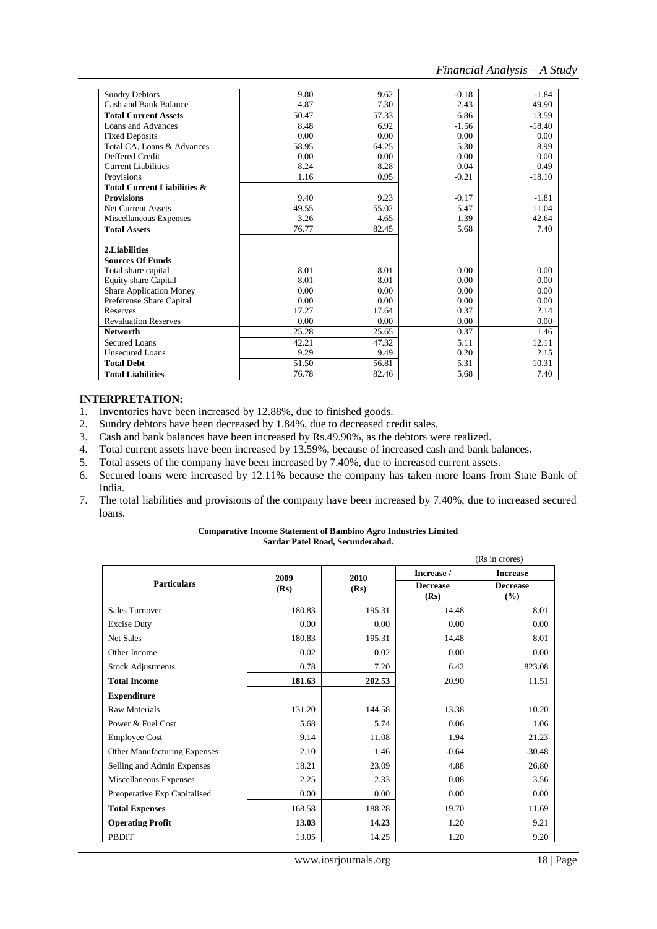(Rs in crores)

| <b>Sundry Debtors</b>                  | 9.80  | 9.62  | $-0.18$ | $-1.84$  |
|----------------------------------------|-------|-------|---------|----------|
| Cash and Bank Balance                  | 4.87  | 7.30  | 2.43    | 49.90    |
| <b>Total Current Assets</b>            | 50.47 | 57.33 | 6.86    | 13.59    |
| Loans and Advances                     | 8.48  | 6.92  | $-1.56$ | $-18.40$ |
| <b>Fixed Deposits</b>                  | 0.00  | 0.00  | 0.00    | 0.00     |
| Total CA, Loans & Advances             | 58.95 | 64.25 | 5.30    | 8.99     |
| Deffered Credit                        | 0.00  | 0.00  | 0.00    | 0.00     |
| <b>Current Liabilities</b>             | 8.24  | 8.28  | 0.04    | 0.49     |
| Provisions                             | 1.16  | 0.95  | $-0.21$ | $-18.10$ |
| <b>Total Current Liabilities &amp;</b> |       |       |         |          |
| <b>Provisions</b>                      | 9.40  | 9.23  | $-0.17$ | $-1.81$  |
| <b>Net Current Assets</b>              | 49.55 | 55.02 | 5.47    | 11.04    |
| Miscellaneous Expenses                 | 3.26  | 4.65  | 1.39    | 42.64    |
| <b>Total Assets</b>                    | 76.77 | 82.45 | 5.68    | 7.40     |
|                                        |       |       |         |          |
| 2.Liabilities                          |       |       |         |          |
| <b>Sources Of Funds</b>                |       |       |         |          |
| Total share capital                    | 8.01  | 8.01  | 0.00    | 0.00     |
| <b>Equity share Capital</b>            | 8.01  | 8.01  | 0.00    | 0.00     |
| <b>Share Application Money</b>         | 0.00  | 0.00  | 0.00    | 0.00     |
| Preferense Share Capital               | 0.00  | 0.00  | 0.00    | 0.00     |
| Reserves                               | 17.27 | 17.64 | 0.37    | 2.14     |
| <b>Revaluation Reserves</b>            | 0.00  | 0.00  | 0.00    | 0.00     |
| <b>Networth</b>                        | 25.28 | 25.65 | 0.37    | 1.46     |
| Secured Loans                          | 42.21 | 47.32 | 5.11    | 12.11    |
| <b>Unsecured Loans</b>                 | 9.29  | 9.49  | 0.20    | 2.15     |
| <b>Total Debt</b>                      | 51.50 | 56.81 | 5.31    | 10.31    |
| <b>Total Liabilities</b>               | 76.78 | 82.46 | 5.68    | 7.40     |

### **INTERPRETATION:**

- 1. Inventories have been increased by 12.88%, due to finished goods.
- 2. Sundry debtors have been decreased by 1.84%, due to decreased credit sales.
- 3. Cash and bank balances have been increased by Rs.49.90%, as the debtors were realized.
- 4. Total current assets have been increased by 13.59%, because of increased cash and bank balances.
- 5. Total assets of the company have been increased by 7.40%, due to increased current assets.
- 6. Secured loans were increased by 12.11% because the company has taken more loans from State Bank of India.
- 7. The total liabilities and provisions of the company have been increased by 7.40%, due to increased secured loans.

#### **Comparative Income Statement of Bambino Agro Industries Limited Sardar Patel Road, Secunderabad.**

|                                     |              |              | Increase /              | $1011$ $010107$<br><b>Increase</b> |
|-------------------------------------|--------------|--------------|-------------------------|------------------------------------|
| <b>Particulars</b>                  | 2009<br>(Rs) | 2010<br>(Rs) | <b>Decrease</b><br>(Rs) | <b>Decrease</b><br>(%)             |
| <b>Sales Turnover</b>               | 180.83       | 195.31       | 14.48                   | 8.01                               |
| <b>Excise Duty</b>                  | 0.00         | 0.00         | 0.00                    | 0.00                               |
| <b>Net Sales</b>                    | 180.83       | 195.31       | 14.48                   | 8.01                               |
| Other Income                        | 0.02         | 0.02         | 0.00                    | 0.00                               |
| <b>Stock Adjustments</b>            | 0.78         | 7.20         | 6.42                    | 823.08                             |
| <b>Total Income</b>                 | 181.63       | 202.53       | 20.90                   | 11.51                              |
| <b>Expenditure</b>                  |              |              |                         |                                    |
| <b>Raw Materials</b>                | 131.20       | 144.58       | 13.38                   | 10.20                              |
| Power & Fuel Cost                   | 5.68         | 5.74         | 0.06                    | 1.06                               |
| <b>Employee Cost</b>                | 9.14         | 11.08        | 1.94                    | 21.23                              |
| <b>Other Manufacturing Expenses</b> | 2.10         | 1.46         | $-0.64$                 | $-30.48$                           |
| Selling and Admin Expenses          | 18.21        | 23.09        | 4.88                    | 26.80                              |
| Miscellaneous Expenses              | 2.25         | 2.33         | 0.08                    | 3.56                               |
| Preoperative Exp Capitalised        | 0.00         | 0.00         | 0.00                    | 0.00                               |
| <b>Total Expenses</b>               | 168.58       | 188.28       | 19.70                   | 11.69                              |
| <b>Operating Profit</b>             | 13.03        | 14.23        | 1.20                    | 9.21                               |
| PBDIT                               | 13.05        | 14.25        | 1.20                    | 9.20                               |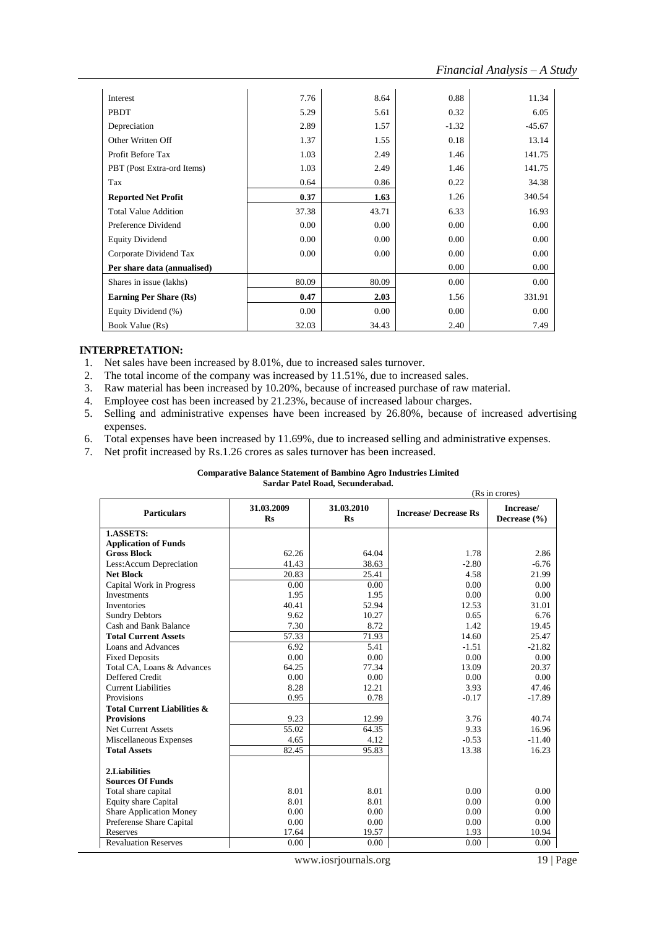| Interest                      | 7.76  | 8.64     | 0.88    | 11.34    |
|-------------------------------|-------|----------|---------|----------|
| PBDT                          | 5.29  | 5.61     | 0.32    | 6.05     |
| Depreciation                  | 2.89  | 1.57     | $-1.32$ | $-45.67$ |
| Other Written Off             | 1.37  | 1.55     | 0.18    | 13.14    |
| Profit Before Tax             | 1.03  | 2.49     | 1.46    | 141.75   |
| PBT (Post Extra-ord Items)    | 1.03  | 2.49     | 1.46    | 141.75   |
| Tax                           | 0.64  | 0.86     | 0.22    | 34.38    |
| <b>Reported Net Profit</b>    | 0.37  | 1.63     | 1.26    | 340.54   |
| <b>Total Value Addition</b>   | 37.38 | 43.71    | 6.33    | 16.93    |
| Preference Dividend           | 0.00  | 0.00     | 0.00    | 0.00     |
| <b>Equity Dividend</b>        | 0.00  | 0.00     | 0.00    | 0.00     |
| Corporate Dividend Tax        | 0.00  | $0.00\,$ | 0.00    | 0.00     |
| Per share data (annualised)   |       |          | 0.00    | 0.00     |
| Shares in issue (lakhs)       | 80.09 | 80.09    | 0.00    | 0.00     |
| <b>Earning Per Share (Rs)</b> | 0.47  | 2.03     | 1.56    | 331.91   |
| Equity Dividend (%)           | 0.00  | 0.00     | 0.00    | 0.00     |
| Book Value (Rs)               | 32.03 | 34.43    | 2.40    | 7.49     |

- 1. Net sales have been increased by 8.01%, due to increased sales turnover.
- 2. The total income of the company was increased by 11.51%, due to increased sales.
- 3. Raw material has been increased by 10.20%, because of increased purchase of raw material.
- 4. Employee cost has been increased by 21.23%, because of increased labour charges.
- 5. Selling and administrative expenses have been increased by 26.80%, because of increased advertising expenses.
- 6. Total expenses have been increased by 11.69%, due to increased selling and administrative expenses.
- 7. Net profit increased by Rs.1.26 crores as sales turnover has been increased.

#### **Comparative Balance Statement of Bambino Agro Industries Limited Sardar Patel Road, Secunderabad.**

|                                        |                         |                         |                             | (Rs in crores)                |  |  |
|----------------------------------------|-------------------------|-------------------------|-----------------------------|-------------------------------|--|--|
| <b>Particulars</b>                     | 31.03.2009<br><b>Rs</b> | 31.03.2010<br><b>Rs</b> | <b>Increase/Decrease Rs</b> | Increase/<br>Decrease $(\% )$ |  |  |
| 1.ASSETS:                              |                         |                         |                             |                               |  |  |
| <b>Application of Funds</b>            |                         |                         |                             |                               |  |  |
| <b>Gross Block</b>                     | 62.26                   | 64.04                   | 1.78                        | 2.86                          |  |  |
| Less: Accum Depreciation               | 41.43                   | 38.63                   | $-2.80$                     | $-6.76$                       |  |  |
| <b>Net Block</b>                       | 20.83                   | 25.41                   | 4.58                        | 21.99                         |  |  |
| Capital Work in Progress               | 0.00                    | 0.00                    | 0.00                        | 0.00                          |  |  |
| <b>Investments</b>                     | 1.95                    | 1.95                    | 0.00                        | 0.00                          |  |  |
| <b>Inventories</b>                     | 40.41                   | 52.94                   | 12.53                       | 31.01                         |  |  |
| <b>Sundry Debtors</b>                  | 9.62                    | 10.27                   | 0.65                        | 6.76                          |  |  |
| Cash and Bank Balance                  | 7.30                    | 8.72                    | 1.42                        | 19.45                         |  |  |
| <b>Total Current Assets</b>            | 57.33                   | 71.93                   | 14.60                       | 25.47                         |  |  |
| Loans and Advances                     | 6.92                    | 5.41                    | $-1.51$                     | $-21.82$                      |  |  |
| <b>Fixed Deposits</b>                  | 0.00                    | 0.00                    | 0.00                        | 0.00                          |  |  |
| Total CA, Loans & Advances             | 64.25                   | 77.34                   | 13.09                       | 20.37                         |  |  |
| Deffered Credit                        | 0.00                    | 0.00                    | 0.00                        | 0.00                          |  |  |
| <b>Current Liabilities</b>             | 8.28                    | 12.21                   | 3.93                        | 47.46                         |  |  |
| Provisions                             | 0.95                    | 0.78                    | $-0.17$                     | $-17.89$                      |  |  |
| <b>Total Current Liabilities &amp;</b> |                         |                         |                             |                               |  |  |
| <b>Provisions</b>                      | 9.23                    | 12.99                   | 3.76                        | 40.74                         |  |  |
| <b>Net Current Assets</b>              | 55.02                   | 64.35                   | 9.33                        | 16.96                         |  |  |
| Miscellaneous Expenses                 | 4.65                    | 4.12                    | $-0.53$                     | $-11.40$                      |  |  |
| <b>Total Assets</b>                    | 82.45                   | 95.83                   | 13.38                       | 16.23                         |  |  |
|                                        |                         |                         |                             |                               |  |  |
| 2.Liabilities                          |                         |                         |                             |                               |  |  |
| <b>Sources Of Funds</b>                |                         |                         |                             |                               |  |  |
| Total share capital                    | 8.01                    | 8.01                    | 0.00                        | 0.00                          |  |  |
| Equity share Capital                   | 8.01                    | 8.01                    | 0.00                        | 0.00                          |  |  |
| <b>Share Application Money</b>         | 0.00                    | 0.00                    | 0.00                        | 0.00                          |  |  |
| Preferense Share Capital               | 0.00                    | 0.00                    | 0.00                        | 0.00                          |  |  |
| Reserves                               | 17.64                   | 19.57                   | 1.93                        | 10.94                         |  |  |
| <b>Revaluation Reserves</b>            | 0.00                    | 0.00                    | 0.00                        | 0.00                          |  |  |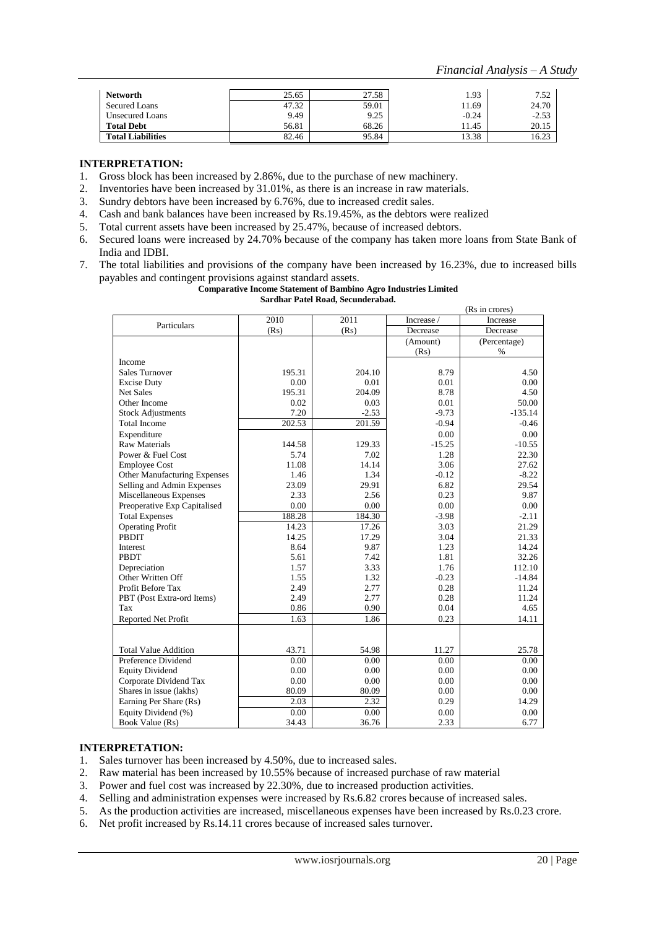| <b>Networth</b>          | 25.65 | 27.58 | 1.93    | 7.52    |
|--------------------------|-------|-------|---------|---------|
| Secured Loans            | 47.32 | 59.01 | 11.69   | 24.70   |
| <b>Unsecured Loans</b>   | 9.49  | 9.25  | $-0.24$ | $-2.53$ |
| <b>Total Debt</b>        | 56.81 | 68.26 | 11.45   | 20.15   |
| <b>Total Liabilities</b> | 82.46 | 95.84 | 13.38   | 16.23   |

- 1. Gross block has been increased by 2.86%, due to the purchase of new machinery.
- 2. Inventories have been increased by 31.01%, as there is an increase in raw materials.
- 3. Sundry debtors have been increased by 6.76%, due to increased credit sales.
- 4. Cash and bank balances have been increased by Rs.19.45%, as the debtors were realized
- 5. Total current assets have been increased by 25.47%, because of increased debtors.
- 6. Secured loans were increased by 24.70% because of the company has taken more loans from State Bank of India and IDBI.
- 7. The total liabilities and provisions of the company have been increased by 16.23%, due to increased bills payables and contingent provisions against standard assets.

**Comparative Income Statement of Bambino Agro Industries Limited Sardhar Patel Road, Secunderabad.**

| (Rs in crores)                      |        |         |            |              |
|-------------------------------------|--------|---------|------------|--------------|
| Particulars                         | 2010   | 2011    | Increase / | Increase     |
|                                     | (Rs)   | (Rs)    | Decrease   | Decrease     |
|                                     |        |         | (Amount)   | (Percentage) |
|                                     |        |         | (Rs)       | $\%$         |
| Income                              |        |         |            |              |
| <b>Sales Turnover</b>               | 195.31 | 204.10  | 8.79       | 4.50         |
| <b>Excise Duty</b>                  | 0.00   | 0.01    | 0.01       | 0.00         |
| <b>Net Sales</b>                    | 195.31 | 204.09  | 8.78       | 4.50         |
| Other Income                        | 0.02   | 0.03    | 0.01       | 50.00        |
| <b>Stock Adjustments</b>            | 7.20   | $-2.53$ | $-9.73$    | $-135.14$    |
| <b>Total Income</b>                 | 202.53 | 201.59  | $-0.94$    | $-0.46$      |
| Expenditure                         |        |         | 0.00       | 0.00         |
| <b>Raw Materials</b>                | 144.58 | 129.33  | $-15.25$   | $-10.55$     |
| Power & Fuel Cost                   | 5.74   | 7.02    | 1.28       | 22.30        |
| <b>Employee Cost</b>                | 11.08  | 14.14   | 3.06       | 27.62        |
| <b>Other Manufacturing Expenses</b> | 1.46   | 1.34    | $-0.12$    | $-8.22$      |
| Selling and Admin Expenses          | 23.09  | 29.91   | 6.82       | 29.54        |
| Miscellaneous Expenses              | 2.33   | 2.56    | 0.23       | 9.87         |
| Preoperative Exp Capitalised        | 0.00   | 0.00    | 0.00       | 0.00         |
| <b>Total Expenses</b>               | 188.28 | 184.30  | $-3.98$    | $-2.11$      |
| <b>Operating Profit</b>             | 14.23  | 17.26   | 3.03       | 21.29        |
| <b>PBDIT</b>                        | 14.25  | 17.29   | 3.04       | 21.33        |
| Interest                            | 8.64   | 9.87    | 1.23       | 14.24        |
| <b>PBDT</b>                         | 5.61   | 7.42    | 1.81       | 32.26        |
| Depreciation                        | 1.57   | 3.33    | 1.76       | 112.10       |
| Other Written Off                   | 1.55   | 1.32    | $-0.23$    | $-14.84$     |
| Profit Before Tax                   | 2.49   | 2.77    | 0.28       | 11.24        |
| PBT (Post Extra-ord Items)          | 2.49   | 2.77    | 0.28       | 11.24        |
| Tax                                 | 0.86   | 0.90    | 0.04       | 4.65         |
| Reported Net Profit                 | 1.63   | 1.86    | 0.23       | 14.11        |
|                                     |        |         |            |              |
|                                     |        |         |            |              |
| <b>Total Value Addition</b>         | 43.71  | 54.98   | 11.27      | 25.78        |
| Preference Dividend                 | 0.00   | 0.00    | 0.00       | 0.00         |
| <b>Equity Dividend</b>              | 0.00   | 0.00    | 0.00       | 0.00         |
| Corporate Dividend Tax              | 0.00   | 0.00    | 0.00       | 0.00         |
| Shares in issue (lakhs)             | 80.09  | 80.09   | 0.00       | 0.00         |
| Earning Per Share (Rs)              | 2.03   | 2.32    | 0.29       | 14.29        |
| Equity Dividend (%)                 | 0.00   | 0.00    | 0.00       | 0.00         |
| Book Value (Rs)                     | 34.43  | 36.76   | 2.33       | 6.77         |

### **INTERPRETATION:**

- 1. Sales turnover has been increased by 4.50%, due to increased sales.
- 2. Raw material has been increased by 10.55% because of increased purchase of raw material
- 3. Power and fuel cost was increased by 22.30%, due to increased production activities.<br>4. Selling and administration expenses were increased by Rs.6.82 crores because of increased
- Selling and administration expenses were increased by Rs.6.82 crores because of increased sales.
- 5. As the production activities are increased, miscellaneous expenses have been increased by Rs.0.23 crore.
- 6. Net profit increased by Rs.14.11 crores because of increased sales turnover.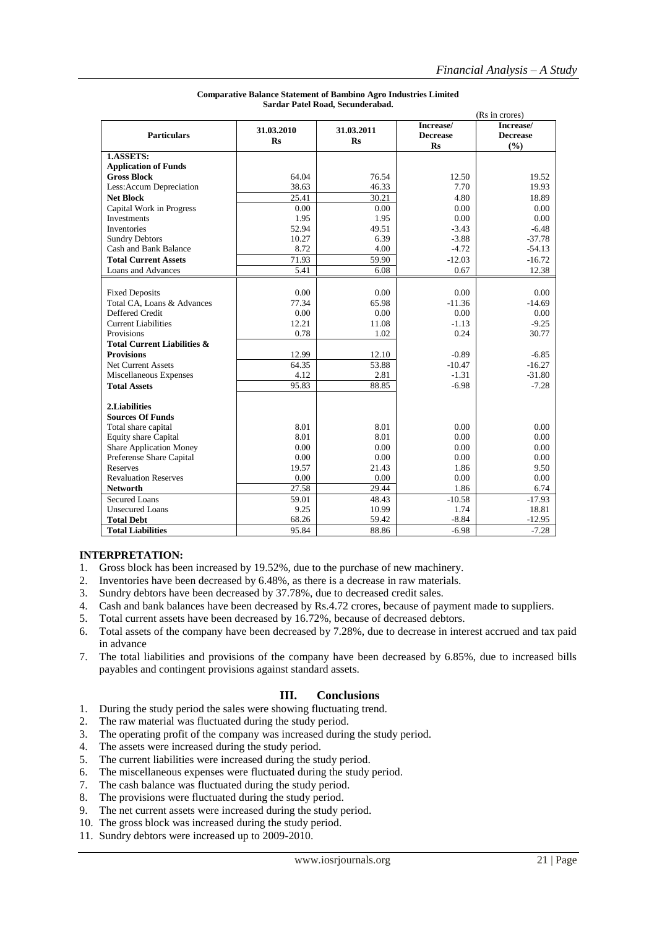|                                        | (Rs in crores) |                |                 |                 |
|----------------------------------------|----------------|----------------|-----------------|-----------------|
|                                        | 31.03.2010     | 31.03.2011     | Increase/       | Increase/       |
| <b>Particulars</b>                     | <b>Rs</b>      | R <sub>S</sub> | <b>Decrease</b> | <b>Decrease</b> |
|                                        |                |                | <b>Rs</b>       | (%)             |
| 1.ASSETS:                              |                |                |                 |                 |
| <b>Application of Funds</b>            |                |                |                 |                 |
| <b>Gross Block</b>                     | 64.04          | 76.54          | 12.50           | 19.52           |
| Less: Accum Depreciation               | 38.63          | 46.33          | 7.70            | 19.93           |
| <b>Net Block</b>                       | 25.41          | 30.21          | 4.80            | 18.89           |
| Capital Work in Progress               | 0.00           | 0.00           | 0.00            | 0.00            |
| Investments                            | 1.95           | 1.95           | 0.00            | 0.00            |
| <b>Inventories</b>                     | 52.94          | 49.51          | $-3.43$         | $-6.48$         |
| <b>Sundry Debtors</b>                  | 10.27          | 6.39           | $-3.88$         | $-37.78$        |
| Cash and Bank Balance                  | 8.72           | 4.00           | $-4.72$         | $-54.13$        |
| <b>Total Current Assets</b>            | 71.93          | 59.90          | $-12.03$        | $-16.72$        |
| Loans and Advances                     | 5.41           | 6.08           | 0.67            | 12.38           |
|                                        |                |                |                 |                 |
| <b>Fixed Deposits</b>                  | 0.00           | 0.00           | 0.00            | 0.00            |
| Total CA, Loans & Advances             | 77.34          | 65.98          | $-11.36$        | $-14.69$        |
| Deffered Credit                        | 0.00           | 0.00           | 0.00            | 0.00            |
| <b>Current Liabilities</b>             | 12.21          | 11.08          | $-1.13$         | $-9.25$         |
| Provisions                             | 0.78           | 1.02           | 0.24            | 30.77           |
| <b>Total Current Liabilities &amp;</b> |                |                |                 |                 |
| <b>Provisions</b>                      | 12.99          | 12.10          | $-0.89$         | $-6.85$         |
| <b>Net Current Assets</b>              | 64.35          | 53.88          | $-10.47$        | $-16.27$        |
| Miscellaneous Expenses                 | 4.12           | 2.81           | $-1.31$         | $-31.80$        |
| <b>Total Assets</b>                    | 95.83          | 88.85          | $-6.98$         | $-7.28$         |
|                                        |                |                |                 |                 |
| 2.Liabilities                          |                |                |                 |                 |
| <b>Sources Of Funds</b>                |                |                |                 |                 |
| Total share capital                    | 8.01           | 8.01           | 0.00            | 0.00            |
| <b>Equity share Capital</b>            | 8.01           | 8.01           | 0.00            | 0.00            |
| <b>Share Application Money</b>         | 0.00           | 0.00           | 0.00            | 0.00            |
| Preferense Share Capital               | 0.00           | 0.00           | 0.00            | 0.00            |
| <b>Reserves</b>                        | 19.57          | 21.43          | 1.86            | 9.50            |
| <b>Revaluation Reserves</b>            | 0.00           | 0.00           | 0.00            | 0.00            |
| <b>Networth</b>                        | 27.58          | 29.44          | 1.86            | 6.74            |
| <b>Secured Loans</b>                   | 59.01          | 48.43          | $-10.58$        | $-17.93$        |
| <b>Unsecured Loans</b>                 | 9.25           | 10.99          | 1.74            | 18.81           |
| <b>Total Debt</b>                      | 68.26          | 59.42          | $-8.84$         | $-12.95$        |
| <b>Total Liabilities</b>               | 95.84          | 88.86          | $-6.98$         | $-7.28$         |

#### **Comparative Balance Statement of Bambino Agro Industries Limited Sardar Patel Road, Secunderabad.**

### **INTERPRETATION:**

- 1. Gross block has been increased by 19.52%, due to the purchase of new machinery.
- 2. Inventories have been decreased by 6.48%, as there is a decrease in raw materials.
- 3. Sundry debtors have been decreased by 37.78%, due to decreased credit sales.
- 4. Cash and bank balances have been decreased by Rs.4.72 crores, because of payment made to suppliers.
- 5. Total current assets have been decreased by 16.72%, because of decreased debtors.
- 6. Total assets of the company have been decreased by 7.28%, due to decrease in interest accrued and tax paid in advance
- 7. The total liabilities and provisions of the company have been decreased by 6.85%, due to increased bills payables and contingent provisions against standard assets.

### **III. Conclusions**

- 1. During the study period the sales were showing fluctuating trend.
- 2. The raw material was fluctuated during the study period.
- 3. The operating profit of the company was increased during the study period.
- 4. The assets were increased during the study period.
- 5. The current liabilities were increased during the study period.
- 6. The miscellaneous expenses were fluctuated during the study period.
- 7. The cash balance was fluctuated during the study period.
- 8. The provisions were fluctuated during the study period.
- 9. The net current assets were increased during the study period.
- 10. The gross block was increased during the study period.
- 11. Sundry debtors were increased up to 2009-2010.